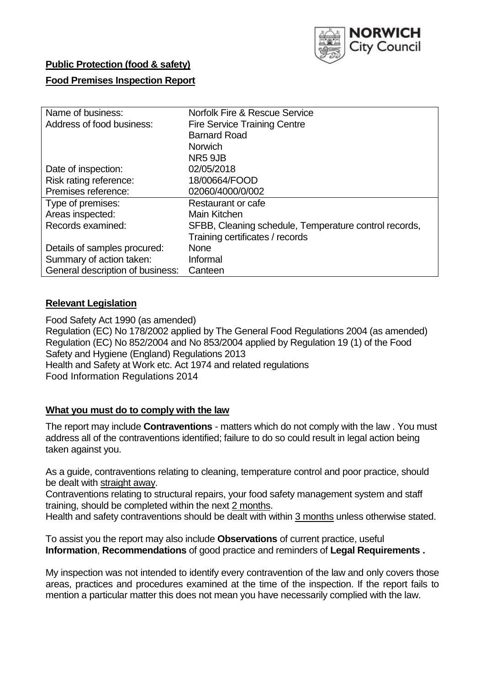

# **Public Protection (food & safety)**

## **Food Premises Inspection Report**

| Name of business:                | Norfolk Fire & Rescue Service                         |  |  |  |  |  |
|----------------------------------|-------------------------------------------------------|--|--|--|--|--|
| Address of food business:        | <b>Fire Service Training Centre</b>                   |  |  |  |  |  |
|                                  | <b>Barnard Road</b>                                   |  |  |  |  |  |
|                                  | <b>Norwich</b>                                        |  |  |  |  |  |
|                                  | NR5 9JB                                               |  |  |  |  |  |
| Date of inspection:              | 02/05/2018                                            |  |  |  |  |  |
| Risk rating reference:           | 18/00664/FOOD                                         |  |  |  |  |  |
| Premises reference:              | 02060/4000/0/002                                      |  |  |  |  |  |
| Type of premises:                | Restaurant or cafe                                    |  |  |  |  |  |
| Areas inspected:                 | Main Kitchen                                          |  |  |  |  |  |
| Records examined:                | SFBB, Cleaning schedule, Temperature control records, |  |  |  |  |  |
|                                  | Training certificates / records                       |  |  |  |  |  |
| Details of samples procured:     | <b>None</b>                                           |  |  |  |  |  |
| Summary of action taken:         | Informal                                              |  |  |  |  |  |
| General description of business: | Canteen                                               |  |  |  |  |  |

## **Relevant Legislation**

Food Safety Act 1990 (as amended) Regulation (EC) No 178/2002 applied by The General Food Regulations 2004 (as amended) Regulation (EC) No 852/2004 and No 853/2004 applied by Regulation 19 (1) of the Food Safety and Hygiene (England) Regulations 2013 Health and Safety at Work etc. Act 1974 and related regulations Food Information Regulations 2014

### **What you must do to comply with the law**

The report may include **Contraventions** - matters which do not comply with the law . You must address all of the contraventions identified; failure to do so could result in legal action being taken against you.

As a guide, contraventions relating to cleaning, temperature control and poor practice, should be dealt with straight away.

Contraventions relating to structural repairs, your food safety management system and staff training, should be completed within the next 2 months.

Health and safety contraventions should be dealt with within 3 months unless otherwise stated.

To assist you the report may also include **Observations** of current practice, useful **Information**, **Recommendations** of good practice and reminders of **Legal Requirements .**

My inspection was not intended to identify every contravention of the law and only covers those areas, practices and procedures examined at the time of the inspection. If the report fails to mention a particular matter this does not mean you have necessarily complied with the law.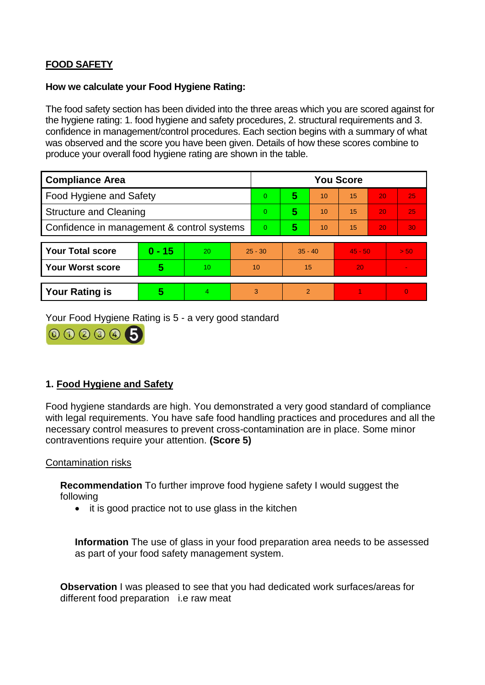# **FOOD SAFETY**

### **How we calculate your Food Hygiene Rating:**

The food safety section has been divided into the three areas which you are scored against for the hygiene rating: 1. food hygiene and safety procedures, 2. structural requirements and 3. confidence in management/control procedures. Each section begins with a summary of what was observed and the score you have been given. Details of how these scores combine to produce your overall food hygiene rating are shown in the table.

| <b>Compliance Area</b>                     |          |    |                | <b>You Score</b> |                |    |           |    |                |  |  |
|--------------------------------------------|----------|----|----------------|------------------|----------------|----|-----------|----|----------------|--|--|
| Food Hygiene and Safety                    |          |    |                | $\Omega$         | 5              | 10 | 15        | 20 | 25             |  |  |
| <b>Structure and Cleaning</b>              |          |    | $\Omega$       | 5                | 10             | 15 | 20        | 25 |                |  |  |
| Confidence in management & control systems |          |    | $\overline{0}$ | 5                | 10             | 15 | 20        | 30 |                |  |  |
|                                            |          |    |                |                  |                |    |           |    |                |  |  |
| <b>Your Total score</b>                    | $0 - 15$ | 20 | $25 - 30$      |                  | $35 - 40$      |    | $45 - 50$ |    | > 50           |  |  |
| <b>Your Worst score</b>                    | 5        | 10 | 10             |                  | 15             |    | 20        |    | $\blacksquare$ |  |  |
|                                            |          |    |                |                  |                |    |           |    |                |  |  |
| <b>Your Rating is</b>                      | 5        | 4  | 3              |                  | $\overline{2}$ |    |           |    | $\Omega$       |  |  |

Your Food Hygiene Rating is 5 - a very good standard



## **1. Food Hygiene and Safety**

Food hygiene standards are high. You demonstrated a very good standard of compliance with legal requirements. You have safe food handling practices and procedures and all the necessary control measures to prevent cross-contamination are in place. Some minor contraventions require your attention. **(Score 5)**

### Contamination risks

**Recommendation** To further improve food hygiene safety I would suggest the following

• it is good practice not to use glass in the kitchen

**Information** The use of glass in your food preparation area needs to be assessed as part of your food safety management system.

**Observation** I was pleased to see that you had dedicated work surfaces/areas for different food preparation i.e raw meat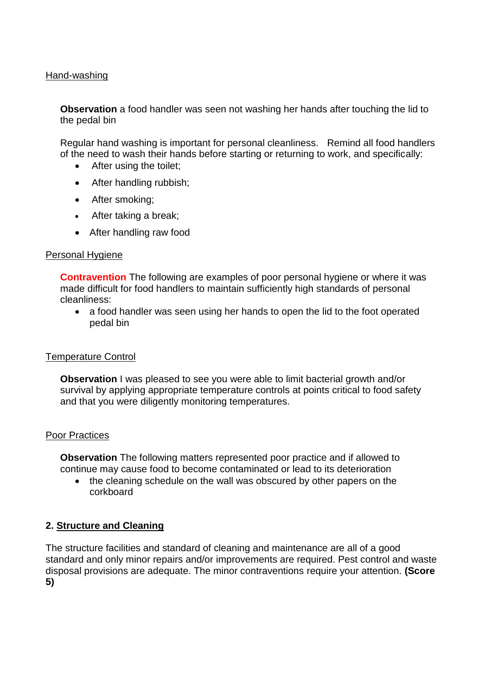### Hand-washing

**Observation** a food handler was seen not washing her hands after touching the lid to the pedal bin

Regular hand washing is important for personal cleanliness. Remind all food handlers of the need to wash their hands before starting or returning to work, and specifically:

- After using the toilet;
- After handling rubbish;
- After smoking;
- After taking a break;
- After handling raw food

#### Personal Hygiene

**Contravention** The following are examples of poor personal hygiene or where it was made difficult for food handlers to maintain sufficiently high standards of personal cleanliness:

 a food handler was seen using her hands to open the lid to the foot operated pedal bin

#### Temperature Control

**Observation** I was pleased to see you were able to limit bacterial growth and/or survival by applying appropriate temperature controls at points critical to food safety and that you were diligently monitoring temperatures.

#### Poor Practices

**Observation** The following matters represented poor practice and if allowed to continue may cause food to become contaminated or lead to its deterioration

• the cleaning schedule on the wall was obscured by other papers on the corkboard

### **2. Structure and Cleaning**

The structure facilities and standard of cleaning and maintenance are all of a good standard and only minor repairs and/or improvements are required. Pest control and waste disposal provisions are adequate. The minor contraventions require your attention. **(Score 5)**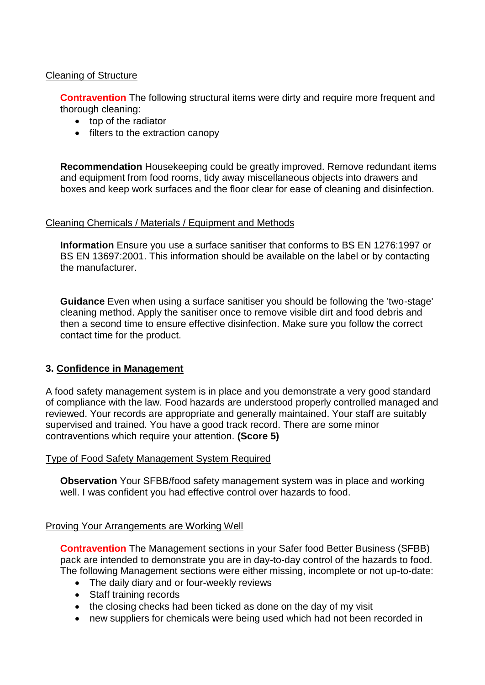## Cleaning of Structure

**Contravention** The following structural items were dirty and require more frequent and thorough cleaning:

- top of the radiator
- filters to the extraction canopy

**Recommendation** Housekeeping could be greatly improved. Remove redundant items and equipment from food rooms, tidy away miscellaneous objects into drawers and boxes and keep work surfaces and the floor clear for ease of cleaning and disinfection.

#### Cleaning Chemicals / Materials / Equipment and Methods

**Information** Ensure you use a surface sanitiser that conforms to BS EN 1276:1997 or BS EN 13697:2001. This information should be available on the label or by contacting the manufacturer.

**Guidance** Even when using a surface sanitiser you should be following the 'two-stage' cleaning method. Apply the sanitiser once to remove visible dirt and food debris and then a second time to ensure effective disinfection. Make sure you follow the correct contact time for the product.

### **3. Confidence in Management**

A food safety management system is in place and you demonstrate a very good standard of compliance with the law. Food hazards are understood properly controlled managed and reviewed. Your records are appropriate and generally maintained. Your staff are suitably supervised and trained. You have a good track record. There are some minor contraventions which require your attention. **(Score 5)**

#### Type of Food Safety Management System Required

**Observation** Your SFBB/food safety management system was in place and working well. I was confident you had effective control over hazards to food.

#### Proving Your Arrangements are Working Well

**Contravention** The Management sections in your Safer food Better Business (SFBB) pack are intended to demonstrate you are in day-to-day control of the hazards to food. The following Management sections were either missing, incomplete or not up-to-date:

- The daily diary and or four-weekly reviews
- Staff training records
- the closing checks had been ticked as done on the day of my visit
- new suppliers for chemicals were being used which had not been recorded in